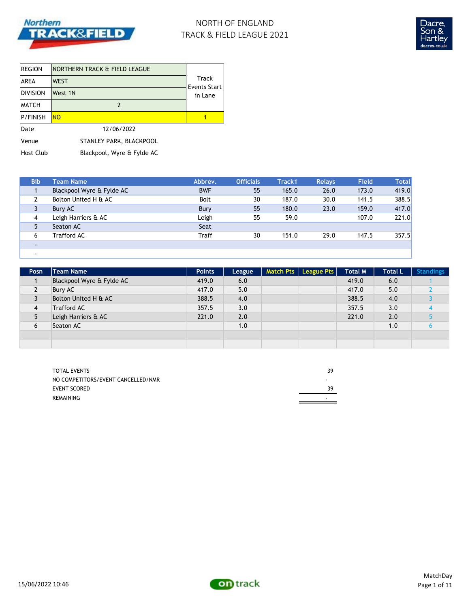

# NORTH OF ENGLAND TRACK & FIELD LEAGUE 2021



| <b>REGION</b>   | NORTHERN TRACK & FIELD LEAGUE |                              |  |
|-----------------|-------------------------------|------------------------------|--|
| <b>AREA</b>     | <b>WEST</b>                   | Track<br><b>Events Start</b> |  |
| <b>DIVISION</b> | West 1N                       | in Lane                      |  |
| <b>MATCH</b>    | 2                             |                              |  |
| <b>P/FINISH</b> | <b>NO</b>                     |                              |  |
| Date            | 12/06/2022                    |                              |  |
| Venue           | STANLEY PARK, BLACKPOOL       |                              |  |
| Host Club       | Blackpool, Wyre & Fylde AC    |                              |  |

| <b>Bib</b> | Team Name                 | Abbrev.      | <b>Officials</b> | Track1 | <b>Relays</b> | <b>Field</b> | <b>Total</b> |
|------------|---------------------------|--------------|------------------|--------|---------------|--------------|--------------|
|            | Blackpool Wyre & Fylde AC | <b>BWF</b>   | 55               | 165.0  | 26.0          | 173.0        | 419.0        |
|            | Bolton United H & AC      | <b>Bolt</b>  | 30               | 187.0  | 30.0          | 141.5        | 388.5        |
| 3          | Bury AC                   | Bury         | 55               | 180.0  | 23.0          | 159.0        | 417.0        |
| 4          | Leigh Harriers & AC       | Leigh        | 55               | 59.0   |               | 107.0        | 221.0        |
| 5          | Seaton AC                 | Seat         |                  |        |               |              |              |
| 6          | Trafford AC               | <b>Traff</b> | 30               | 151.0  | 29.0          | 147.5        | 357.5        |
|            |                           |              |                  |        |               |              |              |
| $\sim$     |                           |              |                  |        |               |              |              |

| Posn | <b>Team Name</b>          | <b>Points</b> | League | Match Pts   League Pts | <b>Total M</b> | Total L | <b>Standings</b> |
|------|---------------------------|---------------|--------|------------------------|----------------|---------|------------------|
|      | Blackpool Wyre & Fylde AC | 419.0         | 6.0    |                        | 419.0          | 6.0     |                  |
| 2    | <b>Bury AC</b>            | 417.0         | 5.0    |                        | 417.0          | 5.0     |                  |
| 3    | Bolton United H & AC      | 388.5         | 4.0    |                        | 388.5          | 4.0     |                  |
| 4    | <b>Trafford AC</b>        | 357.5         | 3.0    |                        | 357.5          | 3.0     |                  |
| 5    | Leigh Harriers & AC       | 221.0         | 2.0    |                        | 221.0          | 2.0     |                  |
| 6    | Seaton AC                 |               | 1.0    |                        |                | 1.0     |                  |
|      |                           |               |        |                        |                |         |                  |
|      |                           |               |        |                        |                |         |                  |

| <b>TOTAL EVENTS</b>                | 39 |
|------------------------------------|----|
| NO COMPETITORS/EVENT CANCELLED/NMR |    |
| EVENT SCORED                       | 39 |
| REMAINING                          |    |

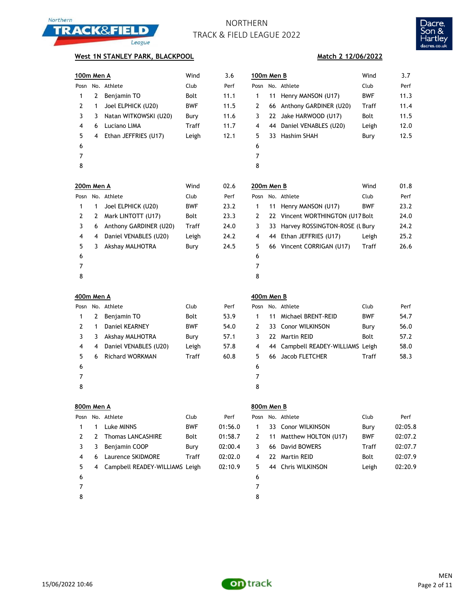



### **West 1N STANLEY PARK, BLACKPOOL**

| <u>100m Men A</u> |              |                          | Wind        | 3.6     | <u>100m Men B</u> |    |                                   | Wind         | 3.7   |
|-------------------|--------------|--------------------------|-------------|---------|-------------------|----|-----------------------------------|--------------|-------|
| Posn              |              | No. Athlete              | Club        | Perf    | Posn              |    | No. Athlete                       | Club         | Perf  |
| $\mathbf{1}$      | 2            | Benjamin TO              | Bolt        | 11.1    | 1                 |    | 11 Henry MANSON (U17)             | <b>BWF</b>   | 11.3  |
| $\overline{2}$    | 1            | Joel ELPHICK (U20)       | <b>BWF</b>  | 11.5    | 2                 |    | 66 Anthony GARDINER (U20)         | Traff        | 11.4  |
| 3                 | 3            | Natan WITKOWSKI (U20)    | Bury        | 11.6    | 3                 |    | 22 Jake HARWOOD (U17)             | <b>Bolt</b>  | 11.5  |
| 4                 | 6            | Luciano LIMA             | Traff       | 11.7    | 4                 |    | 44 Daniel VENABLES (U20)          | Leigh        | 12.0  |
| 5                 | 4            | Ethan JEFFRIES (U17)     | Leigh       | 12.1    | 5                 |    | 33 Hashim SHAH                    | Bury         | 12.5  |
| 6                 |              |                          |             |         | 6                 |    |                                   |              |       |
| 7                 |              |                          |             |         | 7                 |    |                                   |              |       |
| 8                 |              |                          |             |         | 8                 |    |                                   |              |       |
| 200m Men A        |              |                          | Wind        | 02.6    | 200m Men B        |    |                                   | Wind         | 01.8  |
| Posn              |              | No. Athlete              | Club        | Perf    | Posn              |    | No. Athlete                       | Club         | Perf  |
| $\mathbf{1}$      | 1            | Joel ELPHICK (U20)       | <b>BWF</b>  | 23.2    | 1                 | 11 | Henry MANSON (U17)                | <b>BWF</b>   | 23.2  |
| 2                 | 2            | Mark LINTOTT (U17)       | Bolt        | 23.3    | 2                 | 22 | Vincent WORTHINGTON (U17 Bolt)    |              | 24.0  |
| 3                 | 6            | Anthony GARDINER (U20)   | Traff       | 24.0    | 3                 |    | 33 Harvey ROSSINGTON-ROSE (LBury  |              | 24.2  |
| 4                 | 4            | Daniel VENABLES (U20)    | Leigh       | 24.2    | 4                 |    | 44 Ethan JEFFRIES (U17)           | Leigh        | 25.2  |
| 5                 | 3            | Akshay MALHOTRA          | Bury        | 24.5    | 5                 |    | 66 Vincent CORRIGAN (U17)         | Traff        | 26.6  |
| 6                 |              |                          |             |         | 6                 |    |                                   |              |       |
| 7                 |              |                          |             |         | 7                 |    |                                   |              |       |
| 8                 |              |                          |             |         | 8                 |    |                                   |              |       |
| 400m Men A        |              |                          |             |         | 400m Men B        |    |                                   |              |       |
| Posn              |              | No. Athlete              | Club        | Perf    |                   |    | Posn No. Athlete                  | Club         | Perf  |
| 1                 | 2            | Benjamin TO              | Bolt        | 53.9    | 1                 | 11 | Michael BRENT-REID                | <b>BWF</b>   | 54.7  |
| $\overline{2}$    | 1            | Daniel KEARNEY           | <b>BWF</b>  | 54.0    | 2                 | 33 | <b>Conor WILKINSON</b>            | Bury         | 56.0  |
| 3                 | 3            | Akshay MALHOTRA          | Bury        | 57.1    | 3                 |    | 22 Martin REID                    | Bolt         | 57.2  |
| 4                 | 4            | Daniel VENABLES (U20)    | Leigh       | 57.8    | 4                 |    | 44 Campbell READEY-WILLIAMS Leigh |              | 58.0  |
| 5                 | 6            | <b>Richard WORKMAN</b>   | Traff       | 60.8    | 5                 |    | 66 Jacob FLETCHER                 | <b>Traff</b> | 58.3  |
| 6                 |              |                          |             |         | 6                 |    |                                   |              |       |
| 7                 |              |                          |             |         | 7                 |    |                                   |              |       |
| 8                 |              |                          |             |         | 8                 |    |                                   |              |       |
| 800m Men A        |              |                          |             |         | 800m Men B        |    |                                   |              |       |
|                   |              | Posn No. Athlete         | Club        | Perf    |                   |    | Posn No. Athlete                  | Club         | Perf  |
| $\mathbf{1}$      | $\mathbf{1}$ | Luke MINNS               | BWF         | 01:56.0 | $\mathbf{1}$      |    | 33 Conor WILKINSON                | Bury         | 02:05 |
| 2                 | 2            | <b>Thomas LANCASHIRE</b> | Bolt        | 01:58.7 | 2                 |    | 11 Matthew HOLTON (U17)           | <b>BWF</b>   | 02:07 |
| ર                 | ર            | <b>Reniamin COOP</b>     | <b>Runy</b> | 02.00A  | $\mathbf{R}$      |    | 66 David ROWERS                   | Traff        | 02.07 |

### **Match 2 12/06/2022**

| 100m Men B |    |                           | Wind       | 3.7  |
|------------|----|---------------------------|------------|------|
| Posn       |    | No. Athlete               | Club       | Perf |
| 1          | 11 | Henry MANSON (U17)        | <b>BWF</b> | 11.3 |
| 2          |    | 66 Anthony GARDINER (U20) | Traff      | 11.4 |
| 3          |    | 22 Jake HARWOOD (U17)     | Bolt       | 11.5 |
| 4          |    | 44 Daniel VENABLES (U20)  | Leigh      | 12.0 |
| 5          |    | 33 Hashim SHAH            | Bury       | 12.5 |
| 6          |    |                           |            |      |
| 7          |    |                           |            |      |
| C          |    |                           |            |      |

| ט ווא <i>ו</i> זוועט |                                   | YYIIIU     | UΙ |
|----------------------|-----------------------------------|------------|----|
| Posn                 | No. Athlete                       | Club       | Pe |
| 1                    | 11 Henry MANSON (U17)             | <b>BWF</b> | 23 |
| 2                    | 22 Vincent WORTHINGTON (U17 Bolt) |            | 24 |
| 3                    | 33 Harvey ROSSINGTON-ROSE (L Bury |            | 24 |
| 4                    | 44 Ethan JEFFRIES (U17)           | Leigh      | 25 |
| 5                    | 66 Vincent CORRIGAN (U17)         | Traff      | 26 |
| 6                    |                                   |            |    |
|                      |                                   |            |    |

|   | uum men b |                                   |            |      |
|---|-----------|-----------------------------------|------------|------|
|   |           | osn No. Athlete                   | Club       | Perf |
|   |           | 1 11 Michael BRENT-REID           | <b>BWF</b> | 54.7 |
|   |           | 2 33 Conor WILKINSON              | Bury       | 56.0 |
|   |           | 3 22 Martin REID                  | Bolt       | 57.2 |
| 4 |           | 44 Campbell READEY-WILLIAMS Leigh |            | 58.0 |
|   |           | 5 66 Jacob FLETCHER               | Traff      | 58.3 |
| 6 |           |                                   |            |      |
| 7 |           |                                   |            |      |
|   |           |                                   |            |      |

|      | 800m Men A |                                |            |         |    |    | 800m Men B              |            |         |  |  |  |
|------|------------|--------------------------------|------------|---------|----|----|-------------------------|------------|---------|--|--|--|
| Posn |            | No. Athlete                    | Club       | Perf    |    |    | Posn No. Athlete        | Club       | Perf    |  |  |  |
|      |            | Luke MINNS                     | <b>BWF</b> | 01:56.0 | 1  |    | 33 Conor WILKINSON      | Bury       | 02:05.8 |  |  |  |
|      | 2          | <b>Thomas LANCASHIRE</b>       | Bolt       | 01:58.7 | 2  |    | 11 Matthew HOLTON (U17) | <b>BWF</b> | 02:07.2 |  |  |  |
| 3    | 3          | Benjamin COOP                  | Bury       | 02:00.4 | 3. |    | 66 David BOWERS         | Traff      | 02:07.7 |  |  |  |
| 4    | 6          | Laurence SKIDMORE              | Traff      | 02:02.0 | 4  | 22 | Martin REID             | Bolt       | 02:07.9 |  |  |  |
| 5.   | 4          | Campbell READEY-WILLIAMS Leigh |            | 02:10.9 | 5. |    | 44 Chris WILKINSON      | Leigh      | 02:20.9 |  |  |  |
| 6    |            |                                |            |         | 6  |    |                         |            |         |  |  |  |
|      |            |                                |            |         |    |    |                         |            |         |  |  |  |
| 8    |            |                                |            |         | 8  |    |                         |            |         |  |  |  |



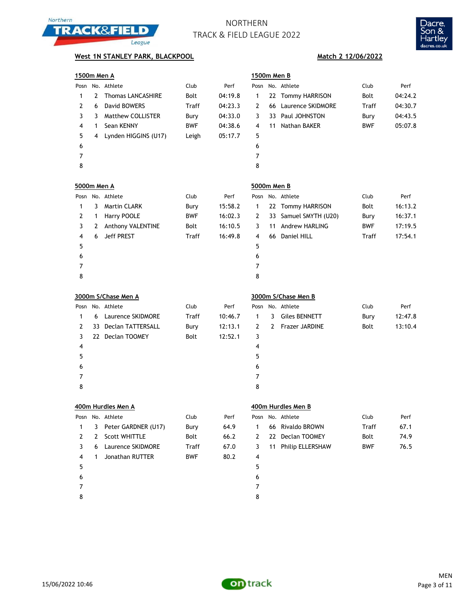



## **West 1N STANLEY PARK, BLACKPOOL Match 2 12/06/2022**

| 1500m Men A        |              |                          |              |         | 1500m Men B    |    |                       |            |         |
|--------------------|--------------|--------------------------|--------------|---------|----------------|----|-----------------------|------------|---------|
|                    |              | Posn No. Athlete         | Club         | Perf    |                |    | Posn No. Athlete      | Club       | Perf    |
| 1                  | 2            | <b>Thomas LANCASHIRE</b> | Bolt         | 04:19.8 | 1              |    | 22 Tommy HARRISON     | Bolt       | 04:24.2 |
| $\mathbf{2}$       | 6            | David BOWERS             | Traff        | 04:23.3 | 2              |    | 66 Laurence SKIDMORE  | Traff      | 04:30.7 |
| 3                  | 3            | <b>Matthew COLLISTER</b> | Bury         | 04:33.0 | 3              |    | 33 Paul JOHNSTON      | Bury       | 04:43.5 |
| 4                  | $\mathbf{1}$ | Sean KENNY               | <b>BWF</b>   | 04:38.6 | 4              |    | 11 Nathan BAKER       | BWF        | 05:07.8 |
| 5                  |              | 4 Lynden HIGGINS (U17)   | Leigh        | 05:17.7 | 5              |    |                       |            |         |
| 6                  |              |                          |              |         | 6              |    |                       |            |         |
| $\overline{7}$     |              |                          |              |         | $\overline{7}$ |    |                       |            |         |
| 8                  |              |                          |              |         | 8              |    |                       |            |         |
| <b>5000m Men A</b> |              |                          |              |         | 5000m Men B    |    |                       |            |         |
|                    |              | Posn No. Athlete         | Club         | Perf    |                |    | Posn No. Athlete      | Club       | Perf    |
| 1                  | 3            | <b>Martin CLARK</b>      | Bury         | 15:58.2 | 1              |    | 22 Tommy HARRISON     | Bolt       | 16:13.2 |
| $\mathbf{2}$       | $\mathbf{1}$ | Harry POOLE              | <b>BWF</b>   | 16:02.3 | 2              |    | 33 Samuel SMYTH (U20) | Bury       | 16:37.1 |
| 3                  | 2            | Anthony VALENTINE        | Bolt         | 16:10.5 | 3              | 11 | Andrew HARLING        | <b>BWF</b> | 17:19.5 |
| 4                  | 6            | Jeff PREST               | <b>Traff</b> | 16:49.8 | 4              |    | 66 Daniel HILL        | Traff      | 17:54.1 |
| 5                  |              |                          |              |         | 5              |    |                       |            |         |
| 6                  |              |                          |              |         | 6              |    |                       |            |         |
| 7                  |              |                          |              |         | $\overline{7}$ |    |                       |            |         |
| 8                  |              |                          |              |         | 8              |    |                       |            |         |
|                    |              |                          |              |         |                |    |                       |            |         |
|                    |              | 3000m S/Chase Men A      |              |         |                |    | 3000m S/Chase Men B   |            |         |
|                    |              | Posn No. Athlete         | Club         | Perf    | Posn           |    | No. Athlete           | Club       | Perf    |
| 1                  | 6            | Laurence SKIDMORE        | Traff        | 10:46.7 | $\mathbf{1}$   | 3  | <b>Giles BENNETT</b>  | Bury       | 12:47.8 |
| $\overline{2}$     |              | 33 Declan TATTERSALL     | Bury         | 12:13.1 | $\overline{2}$ | 2  | <b>Frazer JARDINE</b> | Bolt       | 13:10.4 |
| 3                  |              | 22 Declan TOOMEY         | Bolt         | 12:52.1 | 3              |    |                       |            |         |
| 4                  |              |                          |              |         | 4              |    |                       |            |         |
| 5                  |              |                          |              |         | 5              |    |                       |            |         |
| 6                  |              |                          |              |         | 6              |    |                       |            |         |
| 7                  |              |                          |              |         | $\overline{7}$ |    |                       |            |         |
| 8                  |              |                          |              |         | 8              |    |                       |            |         |
|                    |              | 400m Hurdles Men A       |              |         |                |    | 400m Hurdles Men B    |            |         |
|                    |              | Posn No. Athlete         | Club         | Perf    | Posn           |    | No. Athlete           | Club       | Perf    |
| 1                  | 3            | Peter GARDNER (U17)      | Bury         | 64.9    | 1              |    | 66 Rivaldo BROWN      | Traff      | 67.1    |
| $\mathbf{2}$       | 2            | Scott WHITTLE            | Bolt         | 66.2    | 2              |    | 22 Declan TOOMEY      | Bolt       | 74.9    |
| 3                  | 6            | Laurence SKIDMORE        | Traff        | 67.0    | 3              |    | 11 Philip ELLERSHAW   | <b>BWF</b> | 76.5    |
| 4                  | 1            | Jonathan RUTTER          | BWF          | 80.2    | 4              |    |                       |            |         |
| 5                  |              |                          |              |         | 5              |    |                       |            |         |
| 6                  |              |                          |              |         | 6              |    |                       |            |         |



8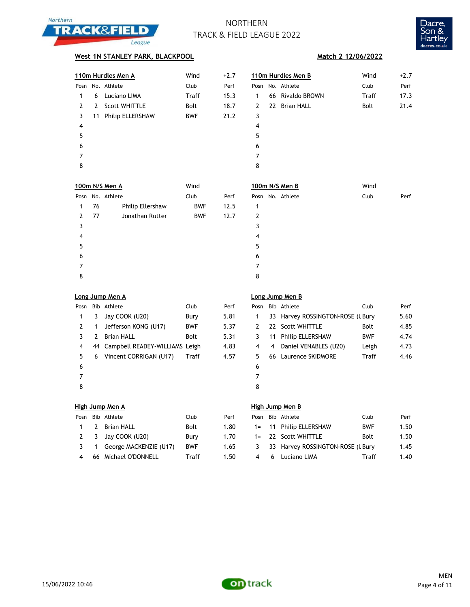



## **West 1N STANLEY PARK, BLACKPOOL Match 2 12/06/2022**

|      |    | 110m Hurdles Men A      | Wind        | $+2.7$ |      | 110m Hurdles Men B | Wind         | $+2.7$ |
|------|----|-------------------------|-------------|--------|------|--------------------|--------------|--------|
| Posn |    | No. Athlete             | Club        | Perf   | Posn | No. Athlete        | Club         | Perf   |
|      | 6  | Luciano LIMA            | Traff       | 15.3   | 1    | 66 Rivaldo BROWN   | <b>Traff</b> | 17.3   |
| 2    | 2  | <b>Scott WHITTLE</b>    | <b>Bolt</b> | 18.7   | 2    | 22 Brian HALL      | Bolt         | 21.4   |
| 3    | 11 | <b>Philip ELLERSHAW</b> | <b>BWF</b>  | 21.2   | 3    |                    |              |        |
| 4    |    |                         |             |        | 4    |                    |              |        |
| 5    |    |                         |             |        | 5    |                    |              |        |
| 6    |    |                         |             |        | 6    |                    |              |        |
|      |    |                         |             |        | 7    |                    |              |        |
| 8    |    |                         |             |        | 8    |                    |              |        |
|      |    |                         |             |        |      |                    |              |        |

|              |     | 100m N/S Men A   | Wind       |      | 100m N/S Men B   | Wind         |
|--------------|-----|------------------|------------|------|------------------|--------------|
| Posn         |     | No. Athlete      | Club       | Perf | Posn No. Athlete | Club<br>Perf |
| $\mathbf{1}$ | 76  | Philip Ellershaw | <b>BWF</b> | 12.5 | 1                |              |
| 2            | -77 | Jonathan Rutter  | <b>BWF</b> | 12.7 | 2                |              |
| 3            |     |                  |            |      | 3                |              |
| 4            |     |                  |            |      | 4                |              |
| 5            |     |                  |            |      | 5                |              |
| 6            |     |                  |            |      | 6                |              |
| 7            |     |                  |            |      | 7                |              |
| 8            |     |                  |            |      | 8                |              |

| Posn |   | Bib Athlete                       | Club       | Perf | Pos            |
|------|---|-----------------------------------|------------|------|----------------|
| 1    | 3 | Jay COOK (U20)                    | Bury       | 5.81 | 1              |
| 2    | 1 | Jefferson KONG (U17)              | <b>BWF</b> | 5.37 | $\overline{2}$ |
| 3    | 2 | <b>Brian HALL</b>                 | Bolt       | 5.31 | 3              |
| 4    |   | 44 Campbell READEY-WILLIAMS Leigh |            | 4.83 | 4              |
| 5    | 6 | Vincent CORRIGAN (U17)            | Traff      | 4.57 | 5              |
| 6    |   |                                   |            |      | 6              |
| 7    |   |                                   |            |      | 7              |
| 8    |   |                                   |            |      | 8              |

### **Long Jump Men A Long Jump Men B**

| Posn    |   | Bib Athlete                       | Club        | Perf | Posn    |   | Bib Athlete                      | Club         | Perf |
|---------|---|-----------------------------------|-------------|------|---------|---|----------------------------------|--------------|------|
| 1       | 3 | Jay COOK (U20)                    | Bury        | 5.81 |         |   | 33 Harvey ROSSINGTON-ROSE (LBury |              | 5.60 |
|         |   | Jefferson KONG (U17)              | <b>BWF</b>  | 5.37 |         |   | 22 Scott WHITTLE                 | Bolt         | 4.85 |
|         | 2 | <b>Brian HALL</b>                 | <b>Bolt</b> | 5.31 |         |   | 11 Philip ELLERSHAW              | <b>BWF</b>   | 4.74 |
| 4       |   | 44 Campbell READEY-WILLIAMS Leigh |             | 4.83 | 4       | 4 | Daniel VENABLES (U20)            | Leigh        | 4.73 |
| 5.      | 6 | Vincent CORRIGAN (U17)            | Traff       | 4.57 | 5.      |   | 66 Laurence SKIDMORE             | <b>Traff</b> | 4.46 |
| 6       |   |                                   |             |      | 6       |   |                                  |              |      |
|         |   |                                   |             |      |         |   |                                  |              |      |
| $\circ$ |   |                                   |             |      | $\circ$ |   |                                  |              |      |

| Posn           | Bib Athlete              | Club       |
|----------------|--------------------------|------------|
| 1.             | 2 Brian HALL             | Bolt       |
| $\overline{2}$ | 3 Jay COOK (U20)         | Bury       |
| 3              | 1 George MACKENZIE (U17) | <b>BWF</b> |
| 4              | 66 Michael O'DONNELL     | Traff      |
|                |                          |            |

### **High Jump Men A High Jump Men B**

|              |   | Posn Bib Athlete       | Club        | Perf | Posn |     | Bib Athlete                      | Club       | Perf |
|--------------|---|------------------------|-------------|------|------|-----|----------------------------------|------------|------|
| $\mathbf{1}$ | 2 | Brian HALL             | <b>Bolt</b> | 1.80 |      |     | 1= 11 Philip ELLERSHAW           | <b>BWF</b> | 1.50 |
|              |   | 2 3 Jay COOK (U20)     | Burv        | 1.70 |      |     | 1= 22 Scott WHITTLE              | Bolt       | 1.50 |
| $3 \quad 1$  |   | George MACKENZIE (U17) | <b>BWF</b>  | 1.65 | 3    |     | 33 Harvey ROSSINGTON-ROSE (LBury |            | 1.45 |
| 4            |   | 66 Michael O'DONNELL   | Traff       | 1.50 |      | . რ | Luciano LIMA                     | Traff      | 1.40 |

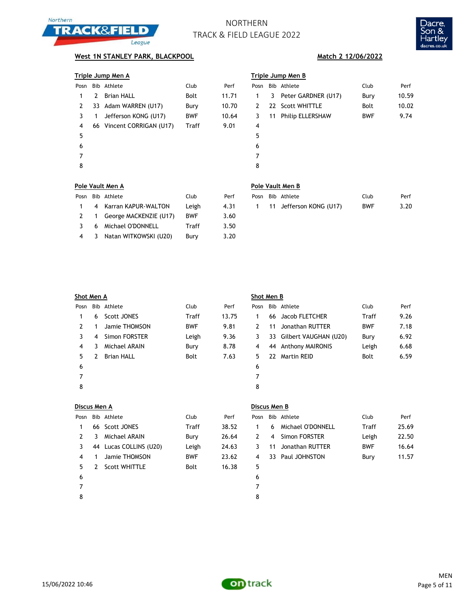



## **West 1N STANLEY PARK, BLACKPOOL Match 2 12/06/2022**

| Triple Jump Men A |  |
|-------------------|--|
|                   |  |

| Posn |   | Bib Athlete               | Club       | Perf  | Pos            |
|------|---|---------------------------|------------|-------|----------------|
| 1    | 2 | <b>Brian HALL</b>         | Bolt       | 11.71 | 1              |
| 2    |   | 33 Adam WARREN (U17)      | Bury       | 10.70 | $\overline{2}$ |
| 3    | 1 | Jefferson KONG (U17)      | <b>BWF</b> | 10.64 | 3              |
| 4    |   | 66 Vincent CORRIGAN (U17) | Traff      | 9.01  | 4              |
| 5    |   |                           |            |       | 5              |
| 6    |   |                           |            |       | 6              |
|      |   |                           |            |       | 7              |
| 8    |   |                           |            |       | 8              |
|      |   |                           |            |       |                |

|      | Triple Jump Men A |                           |            |       |      | Triple Jump Men B |                         |            |       |  |  |
|------|-------------------|---------------------------|------------|-------|------|-------------------|-------------------------|------------|-------|--|--|
| Posn |                   | Bib Athlete               | Club       | Perf  | Posn |                   | Bib Athlete             | Club       | Perf  |  |  |
|      | 2                 | <b>Brian HALL</b>         | Bolt       | 11.71 | 1    |                   | 3 Peter GARDNER (U17)   | Bury       | 10.59 |  |  |
| 2    |                   | 33 Adam WARREN (U17)      | Bury       | 10.70 | 2    |                   | 22 Scott WHITTLE        | Bolt       | 10.02 |  |  |
| 3    |                   | Jefferson KONG (U17)      | <b>BWF</b> | 10.64 | 3    | 11                | <b>Philip ELLERSHAW</b> | <b>BWF</b> | 9.74  |  |  |
| 4    |                   | 66 Vincent CORRIGAN (U17) | Traff      | 9.01  | 4    |                   |                         |            |       |  |  |
| 5    |                   |                           |            |       | 5    |                   |                         |            |       |  |  |
| 6    |                   |                           |            |       | 6    |                   |                         |            |       |  |  |
|      |                   |                           |            |       | 7    |                   |                         |            |       |  |  |
| 8    |                   |                           |            |       | 8    |                   |                         |            |       |  |  |
|      |                   |                           |            |       |      |                   |                         |            |       |  |  |

### **Pole Vault Men A Pole Vault Men B**

| Posn          |   | Bib Athlete              | Club       | Perf |
|---------------|---|--------------------------|------------|------|
| 1             |   | 4 Karran KAPUR-WALTON    | Leigh      | 4.31 |
| $\mathcal{L}$ |   | 1 George MACKENZIE (U17) | <b>BWF</b> | 3.60 |
| $\mathcal{R}$ |   | 6 Michael O'DONNELL      | Traff      | 3.50 |
| 4             | 3 | Natan WITKOWSKI (U20)    | Bury       | 3.20 |

|  | Posn Bib Athlete              | Club | Perf |  | Posn Bib Athlete          | Club.      | Perf |
|--|-------------------------------|------|------|--|---------------------------|------------|------|
|  | 1 4 Karran KAPUR-WALTON Leigh |      | 4.31 |  | 1 11 Jefferson KONG (U17) | <b>BWF</b> | 3.20 |

| Shot Men A |                    |             |       |      | Shot Men B |                 |                                                                                                    |      |  |  |
|------------|--------------------|-------------|-------|------|------------|-----------------|----------------------------------------------------------------------------------------------------|------|--|--|
|            |                    | Club        | Perf  | Posn |            |                 | Club                                                                                               | Perf |  |  |
| 6          | <b>Scott JONES</b> | Traff       | 13.75 |      |            |                 | <b>Traff</b>                                                                                       | 9.26 |  |  |
|            | Jamie THOMSON      | <b>BWF</b>  | 9.81  | 2    | 11         | Jonathan RUTTER | <b>BWF</b>                                                                                         | 7.18 |  |  |
| 4          | Simon FORSTER      | Leigh       | 9.36  | 3    |            |                 | Bury                                                                                               | 6.92 |  |  |
| 3          | Michael ARAIN      | Bury        | 8.78  | 4    |            |                 | Leigh                                                                                              | 6.68 |  |  |
|            | <b>Brian HALL</b>  | Bolt        | 7.63  | 5    | 22.        |                 | Bolt                                                                                               | 6.59 |  |  |
|            |                    |             |       | 6    |            |                 |                                                                                                    |      |  |  |
|            |                    |             |       | 7    |            |                 |                                                                                                    |      |  |  |
|            |                    |             |       | 8    |            |                 |                                                                                                    |      |  |  |
|            |                    | Bib Athlete |       |      |            |                 | Bib Athlete<br>66 Jacob FLETCHER<br>33 Gilbert VAUGHAN (U20)<br>44 Anthony MAIRONIS<br>Martin REID |      |  |  |

| Discus Men A  |   |                        |             |       |      |         | Discus Men B |
|---------------|---|------------------------|-------------|-------|------|---------|--------------|
| Posn          |   | Bib Athlete            | Club        | Perf  | Posn | Bib Ath |              |
| 1             |   | 66 Scott JONES         | Traff       | 38.52 | 1    | 6       | Mic          |
| $\mathcal{P}$ | 3 | Michael ARAIN          | Bury        | 26.64 | 2    | 4       | Sin          |
| 3             |   | 44 Lucas COLLINS (U20) | Leigh       | 24.63 | 3    | 11      | Jor          |
| 4             | 1 | Jamie THOMSON          | <b>BWF</b>  | 23.62 | 4    |         | 33 Pau       |
| 5             | 2 | <b>Scott WHITTLE</b>   | <b>Bolt</b> | 16.38 | 5    |         |              |
| 6             |   |                        |             |       | 6    |         |              |
| 7             |   |                        |             |       | 7    |         |              |
| 8             |   |                        |             |       | 8    |         |              |

| Posn |   | Bib Athlete            | Club       | Perf  |    |    | Posn Bib Athlete  | Club       | Perf  |
|------|---|------------------------|------------|-------|----|----|-------------------|------------|-------|
|      |   | 66 Scott JONES         | Traff      | 38.52 |    | 6  | Michael O'DONNELL | Traff      | 25.69 |
|      | 3 | Michael ARAIN          | Burv       | 26.64 | 2. | 4  | Simon FORSTER     | Leigh      | 22.50 |
| 3    |   | 44 Lucas COLLINS (U20) | Leigh      | 24.63 |    | 11 | Jonathan RUTTER   | <b>BWF</b> | 16.64 |
| 4    |   | Jamie THOMSON          | <b>BWF</b> | 23.62 | 4  |    | 33 Paul JOHNSTON  | Burv       | 11.57 |
| 5.   |   | Scott WHITTLE          | Bolt       | 16.38 | 5. |    |                   |            |       |

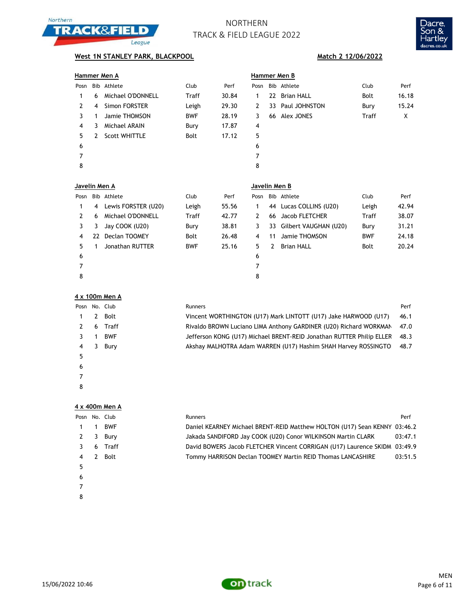



## **West 1N STANLEY PARK, BLACKPOOL Match 2 12/06/2022**

|               |   | Hammer Men A         |              |       | Hammer Men B  |  |                  |              |       |  |  |  |
|---------------|---|----------------------|--------------|-------|---------------|--|------------------|--------------|-------|--|--|--|
| Posn          |   | Bib Athlete          | Club         | Perf  | Posn          |  | Bib Athlete      | Club         | Perf  |  |  |  |
| 1             | 6 | Michael O'DONNELL    | <b>Traff</b> | 30.84 | 1             |  | 22 Brian HALL    | Bolt         | 16.18 |  |  |  |
| $\mathcal{P}$ | 4 | Simon FORSTER        | Leigh        | 29.30 | 2             |  | 33 Paul JOHNSTON | Bury         | 15.24 |  |  |  |
| 3             | 1 | Jamie THOMSON        | <b>BWF</b>   | 28.19 | 3             |  | 66 Alex JONES    | <b>Traff</b> | X     |  |  |  |
| 4             | 3 | Michael ARAIN        | Bury         | 17.87 | 4             |  |                  |              |       |  |  |  |
| 5.            | 2 | <b>Scott WHITTLE</b> | Bolt         | 17.12 | 5             |  |                  |              |       |  |  |  |
| 6             |   |                      |              |       | 6             |  |                  |              |       |  |  |  |
| 7             |   |                      |              |       | 7             |  |                  |              |       |  |  |  |
| 8             |   |                      |              |       | 8             |  |                  |              |       |  |  |  |
|               |   |                      |              |       |               |  |                  |              |       |  |  |  |
| Javelin Men A |   |                      |              |       | Javelin Men B |  |                  |              |       |  |  |  |
|               |   |                      |              |       |               |  |                  |              |       |  |  |  |

| Posn |   | Bib Athlete         | Club        | Perf  |    |    | Posn Bib Athlete         | Club        | Perf  |  |  |  |
|------|---|---------------------|-------------|-------|----|----|--------------------------|-------------|-------|--|--|--|
|      | 4 | Lewis FORSTER (U20) | Leigh       | 55.56 |    |    | 44 Lucas COLLINS (U20)   | Leigh       | 42.94 |  |  |  |
|      | 6 | Michael O'DONNELL   | Traff       | 42.77 |    |    | 66 Jacob FLETCHER        | Traff       | 38.07 |  |  |  |
|      | 3 | Jay COOK (U20)      | Bury        | 38.81 | 3  |    | 33 Gilbert VAUGHAN (U20) | Bury        | 31.21 |  |  |  |
| 4    |   | 22 Declan TOOMEY    | <b>Bolt</b> | 26.48 | 4  | 11 | Jamie THOMSON            | <b>BWF</b>  | 24.18 |  |  |  |
| 5.   |   | Jonathan RUTTER     | <b>BWF</b>  | 25.16 | 5. | 2  | <b>Brian HALL</b>        | <b>Bolt</b> | 20.24 |  |  |  |
| 6    |   |                     |             |       | 6  |    |                          |             |       |  |  |  |
|      |   |                     |             |       | 7  |    |                          |             |       |  |  |  |
| 8    |   |                     |             |       | 8  |    |                          |             |       |  |  |  |

### **4 x 100m Men A**

| Posn |   | No. Club   | Runners                                                              | Perf |
|------|---|------------|----------------------------------------------------------------------|------|
|      |   | Bolt       | Vincent WORTHINGTON (U17) Mark LINTOTT (U17) Jake HARWOOD (U17)      | 46.1 |
|      | 6 | Traff      | Rivaldo BROWN Luciano LIMA Anthony GARDINER (U20) Richard WORKMAN    | 47.0 |
|      |   | <b>BWF</b> | Jefferson KONG (U17) Michael BRENT-REID Jonathan RUTTER Philip ELLER | 48.3 |
| 4    | 3 | Bury       | Akshay MALHOTRA Adam WARREN (U17) Hashim SHAH Harvey ROSSINGTO       | 48.7 |
| 5    |   |            |                                                                      |      |
| 6    |   |            |                                                                      |      |
|      |   |            |                                                                      |      |
|      |   |            |                                                                      |      |

### **4 x 400m Men A**

|   |   | Posn No. Club | <b>Runners</b>                                                            | Perf    |
|---|---|---------------|---------------------------------------------------------------------------|---------|
|   |   | <b>BWF</b>    | Daniel KEARNEY Michael BRENT-REID Matthew HOLTON (U17) Sean KENNY 03:46.2 |         |
|   | 3 | Bury          | Jakada SANDIFORD Jay COOK (U20) Conor WILKINSON Martin CLARK              | 03:47.1 |
|   | 6 | Traff         | David BOWERS Jacob FLETCHER Vincent CORRIGAN (U17) Laurence SKIDM 03:49.9 |         |
|   |   | Bolt          | Tommy HARRISON Declan TOOMEY Martin REID Thomas LANCASHIRE                | 03:51.5 |
| 5 |   |               |                                                                           |         |
| 6 |   |               |                                                                           |         |
|   |   |               |                                                                           |         |
| 8 |   |               |                                                                           |         |

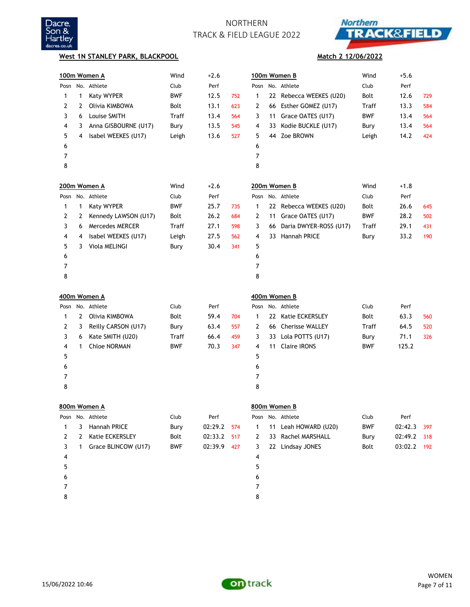



**Match 2 12/06/2022**

### **West 1N STANLEY PARK, BLACKPOOL**

| 100m Women A |   |                        | Wind       | $+2.6$  |     |      |    | 100m Women B            | Wind       | $+5.6$  |     |
|--------------|---|------------------------|------------|---------|-----|------|----|-------------------------|------------|---------|-----|
| Posn         |   | No. Athlete            | Club       | Perf    |     | Posn |    | No. Athlete             | Club       | Perf    |     |
| 1            | 1 | Katy WYPER             | <b>BWF</b> | 12.5    | 752 | 1    |    | 22 Rebecca WEEKES (U20) | Bolt       | 12.6    | 729 |
| 2            | 2 | Olivia KIMBOWA         | Bolt       | 13.1    | 623 | 2    |    | 66 Esther GOMEZ (U17)   | Traff      | 13.3    | 584 |
| 3            | 6 | Louise SMITH           | Traff      | 13.4    | 564 | 3    |    | 11 Grace OATES (U17)    | <b>BWF</b> | 13.4    | 564 |
| 4            | 3 | Anna GISBOURNE (U17)   | Bury       | 13.5    | 545 | 4    | 33 | Kodie BUCKLE (U17)      | Bury       | 13.4    | 564 |
| 5            | 4 | Isabel WEEKES (U17)    | Leigh      | 13.6    | 527 | 5    |    | 44 Zoe BROWN            | Leigh      | 14.2    | 424 |
| 6            |   |                        |            |         |     | 6    |    |                         |            |         |     |
| 7            |   |                        |            |         |     | 7    |    |                         |            |         |     |
| 8            |   |                        |            |         |     | 8    |    |                         |            |         |     |
|              |   | 200m Women A           | Wind       | $+2.6$  |     |      |    | 200m Women B            | Wind       | $+1.8$  |     |
| Posn         |   | No. Athlete            | Club       | Perf    |     | Posn |    | No. Athlete             | Club       | Perf    |     |
| 1            | 1 | Katy WYPER             | <b>BWF</b> | 25.7    | 735 | 1    |    | 22 Rebecca WEEKES (U20) | Bolt       | 26.6    | 645 |
| 2            | 2 | Kennedy LAWSON (U17)   | Bolt       | 26.2    | 684 | 2    |    | 11 Grace OATES (U17)    | <b>BWF</b> | 28.2    | 502 |
| 3            | 6 | <b>Mercedes MERCER</b> | Traff      | 27.1    | 598 | 3    | 66 | Daria DWYER-ROSS (U17)  | Traff      | 29.1    | 431 |
| 4            | 4 | Isabel WEEKES (U17)    | Leigh      | 27.5    | 562 | 4    |    | 33 Hannah PRICE         | Bury       | 33.2    | 190 |
| 5            | 3 | Viola MELINGI          | Bury       | 30.4    | 341 | 5    |    |                         |            |         |     |
| 6            |   |                        |            |         |     | 6    |    |                         |            |         |     |
| 7            |   |                        |            |         |     | 7    |    |                         |            |         |     |
| 8            |   |                        |            |         |     | 8    |    |                         |            |         |     |
|              |   | 400m Women A           |            |         |     |      |    | 400m Women B            |            |         |     |
| Posn         |   | No. Athlete            | Club       | Perf    |     | Posn |    | No. Athlete             | Club       | Perf    |     |
| 1            | 2 | Olivia KIMBOWA         | Bolt       | 59.4    | 704 | 1    |    | 22 Katie ECKERSLEY      | Bolt       | 63.3    | 560 |
| 2            | 3 | Reilly CARSON (U17)    | Bury       | 63.4    | 557 | 2    |    | 66 Cherisse WALLEY      | Traff      | 64.5    | 520 |
| 3            | 6 | Kate SMITH (U20)       | Traff      | 66.4    | 459 | 3    |    | 33 Lola POTTS (U17)     | Bury       | 71.1    | 326 |
| 4            | 1 | <b>Chloe NORMAN</b>    | <b>BWF</b> | 70.3    | 347 | 4    |    | 11 Claire IRONS         | <b>BWF</b> | 125.2   |     |
| 5            |   |                        |            |         |     | 5    |    |                         |            |         |     |
| 6            |   |                        |            |         |     | 6    |    |                         |            |         |     |
| 7            |   |                        |            |         |     | 7    |    |                         |            |         |     |
| 8            |   |                        |            |         |     | 8    |    |                         |            |         |     |
|              |   | 800m Women A           |            |         |     |      |    | 800m Women B            |            |         |     |
| Posn         |   | No. Athlete            | Club       | Perf    |     | Posn |    | No. Athlete             | Club       | Perf    |     |
| 1            | 3 | Hannah PRICE           | Bury       | 02:29.2 | 574 | 1    |    | 11 Leah HOWARD (U20)    | <b>BWF</b> | 02:42.3 | 397 |
| 2            | 2 | Katie ECKERSLEY        | Bolt       | 02:33.2 | 517 | 2    |    | 33 Rachel MARSHALL      | Bury       | 02:49.2 | 318 |
| 3            | 1 | Grace BLINCOW (U17)    | <b>BWF</b> | 02:39.9 | 427 | 3    |    | 22 Lindsay JONES        | Bolt       | 03:02.2 | 192 |
| 4            |   |                        |            |         |     | 4    |    |                         |            |         |     |
| 5            |   |                        |            |         |     | 5    |    |                         |            |         |     |
| 6            |   |                        |            |         |     | 6    |    |                         |            |         |     |
| 7            |   |                        |            |         |     | 7    |    |                         |            |         |     |
| 8            |   |                        |            |         |     | 8    |    |                         |            |         |     |

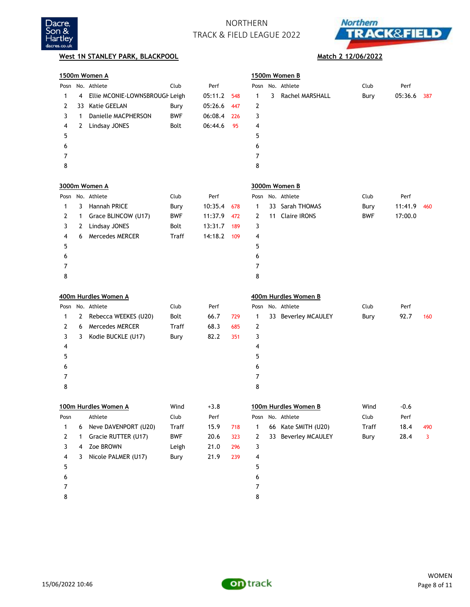



## **West 1N STANLEY PARK, BLACKPOOL Match 2 12/06/2022**

|                |    | 1500m Women A                  |            |         |     |   |    | 1500m Women B        |            |         |     |
|----------------|----|--------------------------------|------------|---------|-----|---|----|----------------------|------------|---------|-----|
|                |    | Posn No. Athlete               | Club       | Perf    |     |   |    | Posn No. Athlete     | Club       | Perf    |     |
| 1              | 4  | Ellie MCONIE-LOWNSBROUGH Leigh |            | 05:11.2 | 548 | 1 | 3  | Rachel MARSHALL      | Bury       | 05:36.6 | 387 |
| 2              | 33 | <b>Katie GEELAN</b>            | Bury       | 05:26.6 | 447 | 2 |    |                      |            |         |     |
| 3              | 1  | Danielle MACPHERSON            | <b>BWF</b> | 06:08.4 | 226 | 3 |    |                      |            |         |     |
| 4              | 2  | Lindsay JONES                  | Bolt       | 06:44.6 | 95  | 4 |    |                      |            |         |     |
| 5              |    |                                |            |         |     | 5 |    |                      |            |         |     |
| 6              |    |                                |            |         |     | 6 |    |                      |            |         |     |
| 7              |    |                                |            |         |     | 7 |    |                      |            |         |     |
| 8              |    |                                |            |         |     | 8 |    |                      |            |         |     |
|                |    | 3000m Women A                  |            |         |     |   |    | 3000m Women B        |            |         |     |
|                |    | Posn No. Athlete               | Club       | Perf    |     |   |    | Posn No. Athlete     | Club       | Perf    |     |
| 1              | 3  | <b>Hannah PRICE</b>            | Bury       | 10:35.4 | 678 | 1 |    | 33 Sarah THOMAS      | Bury       | 11:41.9 | 460 |
| 2              | 1  | Grace BLINCOW (U17)            | <b>BWF</b> | 11:37.9 | 472 | 2 | 11 | <b>Claire IRONS</b>  | <b>BWF</b> | 17:00.0 |     |
| 3              | 2  | Lindsay JONES                  | Bolt       | 13:31.7 | 189 | 3 |    |                      |            |         |     |
| 4              | 6  | <b>Mercedes MERCER</b>         | Traff      | 14:18.2 | 109 | 4 |    |                      |            |         |     |
| 5              |    |                                |            |         |     | 5 |    |                      |            |         |     |
| 6              |    |                                |            |         |     | 6 |    |                      |            |         |     |
| 7              |    |                                |            |         |     | 7 |    |                      |            |         |     |
| 8              |    |                                |            |         |     | 8 |    |                      |            |         |     |
|                |    | 400m Hurdles Women A           |            |         |     |   |    | 400m Hurdles Women B |            |         |     |
|                |    | Posn No. Athlete               | Club       | Perf    |     |   |    | Posn No. Athlete     | Club       | Perf    |     |
| 1              | 2  | Rebecca WEEKES (U20)           | Bolt       | 66.7    | 729 | 1 |    | 33 Beverley MCAULEY  | Bury       | 92.7    | 160 |
| 2              | 6  | <b>Mercedes MERCER</b>         | Traff      | 68.3    | 685 | 2 |    |                      |            |         |     |
| 3              | 3  | Kodie BUCKLE (U17)             | Bury       | 82.2    | 351 | 3 |    |                      |            |         |     |
| 4              |    |                                |            |         |     | 4 |    |                      |            |         |     |
| 5              |    |                                |            |         |     | 5 |    |                      |            |         |     |
| 6              |    |                                |            |         |     | 6 |    |                      |            |         |     |
| 7              |    |                                |            |         |     | 7 |    |                      |            |         |     |
| 8              |    |                                |            |         |     | 8 |    |                      |            |         |     |
|                |    | 100m Hurdles Women A           | Wind       | $+3.8$  |     |   |    | 100m Hurdles Women B | Wind       | $-0.6$  |     |
|                |    | Posn Athlete                   | Club       | Perf    |     |   |    | Posn No. Athlete     | Club       | Perf    |     |
| 1              | 6  | Neve DAVENPORT (U20)           | Traff      | 15.9    | 718 | 1 |    | 66 Kate SMITH (U20)  | Traff      | 18.4    | 490 |
| $\overline{2}$ | 1  | Gracie RUTTER (U17)            | <b>BWF</b> | 20.6    | 323 | 2 |    | 33 Beverley MCAULEY  | Bury       | 28.4    | 3   |
| 3              | 4  | Zoe BROWN                      | Leigh      | 21.0    | 296 | 3 |    |                      |            |         |     |
| 4              | 3  | Nicole PALMER (U17)            | Bury       | 21.9    | 239 | 4 |    |                      |            |         |     |
| 5              |    |                                |            |         |     | 5 |    |                      |            |         |     |
| 6              |    |                                |            |         |     | 6 |    |                      |            |         |     |
| 7              |    |                                |            |         |     | 7 |    |                      |            |         |     |
| 8              |    |                                |            |         |     | 8 |    |                      |            |         |     |

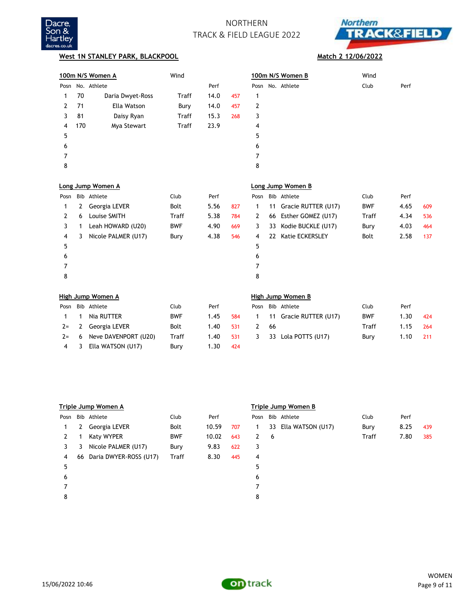



## **West 1N STANLEY PARK, BLACKPOOL Match 2 12/06/2022**

|      |     | 100m N/S Women A    | Wind         |      |     |      |    | 100m N/S Women B    | Wind       |      |     |
|------|-----|---------------------|--------------|------|-----|------|----|---------------------|------------|------|-----|
| Posn |     | No. Athlete         |              | Perf |     |      |    | Posn No. Athlete    | Club       | Perf |     |
| 1    | 70  | Daria Dwyet-Ross    | Traff        | 14.0 | 457 | 1    |    |                     |            |      |     |
| 2    | 71  | Ella Watson         | Bury         | 14.0 | 457 | 2    |    |                     |            |      |     |
| 3    | 81  | Daisy Ryan          | Traff        | 15.3 | 268 | 3    |    |                     |            |      |     |
| 4    | 170 | Mya Stewart         | <b>Traff</b> | 23.9 |     | 4    |    |                     |            |      |     |
| 5    |     |                     |              |      |     | 5    |    |                     |            |      |     |
| 6    |     |                     |              |      |     | 6    |    |                     |            |      |     |
| 7    |     |                     |              |      |     | 7    |    |                     |            |      |     |
| 8    |     |                     |              |      |     | 8    |    |                     |            |      |     |
|      |     | Long Jump Women A   |              |      |     |      |    | Long Jump Women B   |            |      |     |
| Posn |     | Bib Athlete         | Club         | Perf |     | Posn |    | Bib Athlete         | Club       | Perf |     |
| 1    | 2   | Georgia LEVER       | Bolt         | 5.56 | 827 | 1    | 11 | Gracie RUTTER (U17) | <b>BWF</b> | 4.65 | 609 |
| 2    | 6   | Louise SMITH        | Traff        | 5.38 | 784 | 2    | 66 | Esther GOMEZ (U17)  | Traff      | 4.34 | 536 |
| 3    | 1   | Leah HOWARD (U20)   | <b>BWF</b>   | 4.90 | 669 | 3    | 33 | Kodie BUCKLE (U17)  | Bury       | 4.03 | 464 |
| 4    | 3   | Nicole PALMER (U17) | Bury         | 4.38 | 546 | 4    | 22 | Katie ECKERSLEY     | Bolt       | 2.58 | 137 |
| 5    |     |                     |              |      |     | 5    |    |                     |            |      |     |
| 6    |     |                     |              |      |     | 6    |    |                     |            |      |     |
| 7    |     |                     |              |      |     | 7    |    |                     |            |      |     |
| 8    |     |                     |              |      |     | 8    |    |                     |            |      |     |
|      |     | High Jump Women A   |              |      |     |      |    | High Jump Women B   |            |      |     |
| Posn |     | Bib Athlete         | Club         | Perf |     | Posn |    | Bib Athlete         | Club       | Perf |     |
| 1    | 1   | Nia RUTTER          | <b>BWF</b>   | 1.45 | 584 | 1    | 11 | Gracie RUTTER (U17) | <b>BWF</b> | 1.30 | 424 |

| $1 \quad 1$ | Nia RUTTER                   | <b>BWF</b> | 1.45       | 584   | 1 11 Gracie RUTTER (U17) | <b>BWF</b> | 1.30       | 424 |
|-------------|------------------------------|------------|------------|-------|--------------------------|------------|------------|-----|
|             | 2= 2 Georgia LEVER           | Bolt       | 1.40 531   |       | -66                      | Traff      | $1.15$ 264 |     |
|             | $2 = 6$ Neve DAVENPORT (U20) | Traff      | $1.40$ 531 |       | 3 33 Lola POTTS (U17)    | Bury       | 1.10       | 211 |
|             | 4 3 Ella WATSON (U17)        | Bury       | 1.30       | - 424 |                          |            |            |     |

|      | Triple Jump Women A |                           |              |       |     |      | Triple Jump Women B |                   |              |      |     |  |  |  |
|------|---------------------|---------------------------|--------------|-------|-----|------|---------------------|-------------------|--------------|------|-----|--|--|--|
| Posn |                     | Bib Athlete               | Club         | Perf  |     | Posn |                     | Bib Athlete       | Club         | Perf |     |  |  |  |
| 1    | 2                   | Georgia LEVER             | Bolt         | 10.59 | 707 | 1    | 33                  | Ella WATSON (U17) | Bury         | 8.25 | 439 |  |  |  |
| 2    |                     | Katy WYPER                | <b>BWF</b>   | 10.02 | 643 | 2    | 6                   |                   | <b>Traff</b> | 7.80 | 385 |  |  |  |
| 3.   | 3                   | Nicole PALMER (U17)       | Bury         | 9.83  | 622 | 3    |                     |                   |              |      |     |  |  |  |
| 4    |                     | 66 Daria DWYER-ROSS (U17) | <b>Traff</b> | 8.30  | 445 | 4    |                     |                   |              |      |     |  |  |  |
| 5    |                     |                           |              |       |     | 5    |                     |                   |              |      |     |  |  |  |
| 6    |                     |                           |              |       |     | 6    |                     |                   |              |      |     |  |  |  |
|      |                     |                           |              |       |     |      |                     |                   |              |      |     |  |  |  |
| 8    |                     |                           |              |       |     | 8    |                     |                   |              |      |     |  |  |  |
|      |                     |                           |              |       |     |      |                     |                   |              |      |     |  |  |  |



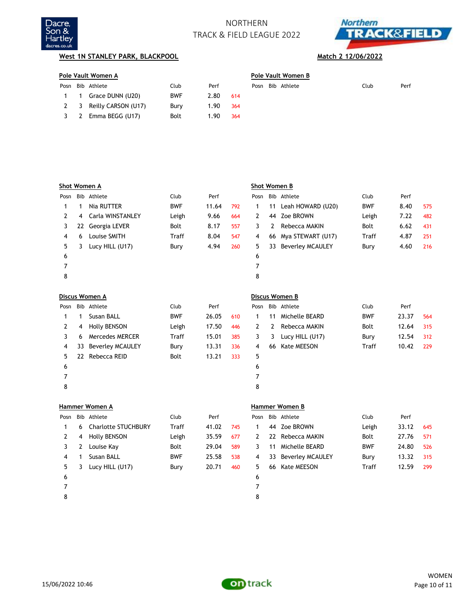



## **West 1N STANLEY PARK, BLACKPOOL Match 2 12/06/2022**

| Pole Vault Women A |                         |            |      |     |  |  | Pole Vault Women B |      |      |  |  |  |  |  |
|--------------------|-------------------------|------------|------|-----|--|--|--------------------|------|------|--|--|--|--|--|
|                    | Posn Bib Athlete        | Club       | Perf |     |  |  | Posn Bib Athlete   | Club | Perf |  |  |  |  |  |
|                    | 1 1 Grace DUNN (U20)    | <b>BWF</b> | 2.80 | 614 |  |  |                    |      |      |  |  |  |  |  |
|                    | 2 3 Reilly CARSON (U17) | Bury       | 1.90 | 364 |  |  |                    |      |      |  |  |  |  |  |
|                    | 3 2 Emma BEGG (U17)     | Bolt       | 1.90 | 364 |  |  |                    |      |      |  |  |  |  |  |
|                    |                         |            |      |     |  |  |                    |      |      |  |  |  |  |  |

|      |     | Shot Women A            |              |       |     |      |    | Shot Women B            |              |       |     |
|------|-----|-------------------------|--------------|-------|-----|------|----|-------------------------|--------------|-------|-----|
| Posn |     | Bib Athlete             | Club         | Perf  |     | Posn |    | Bib Athlete             | Club         | Perf  |     |
| 1    | 1   | Nia RUTTER              | <b>BWF</b>   | 11.64 | 792 | 1    | 11 | Leah HOWARD (U20)       | <b>BWF</b>   | 8.40  | 575 |
| 2    | 4   | Carla WINSTANLEY        | Leigh        | 9.66  | 664 | 2    | 44 | Zoe BROWN               | Leigh        | 7.22  | 482 |
| 3    | 22  | Georgia LEVER           | <b>Bolt</b>  | 8.17  | 557 | 3    | 2  | Rebecca MAKIN           | <b>Bolt</b>  | 6.62  | 431 |
| 4    | 6   | Louise SMITH            | Traff        | 8.04  | 547 | 4    | 66 | Mya STEWART (U17)       | <b>Traff</b> | 4.87  | 251 |
| 5    | 3   | Lucy HILL (U17)         | Bury         | 4.94  | 260 | 5    | 33 | <b>Beverley MCAULEY</b> | Bury         | 4.60  | 216 |
| 6    |     |                         |              |       |     | 6    |    |                         |              |       |     |
| 7    |     |                         |              |       |     | 7    |    |                         |              |       |     |
| 8    |     |                         |              |       |     | 8    |    |                         |              |       |     |
|      |     |                         |              |       |     |      |    |                         |              |       |     |
|      |     | Discus Women A          |              |       |     |      |    | Discus Women B          |              |       |     |
| Posn |     | Bib Athlete             | Club         | Perf  |     | Posn |    | Bib Athlete             | Club         | Perf  |     |
| 1    | 1   | <b>Susan BALL</b>       | <b>BWF</b>   | 26.05 | 610 | 1    | 11 | Michelle BEARD          | <b>BWF</b>   | 23.37 | 564 |
| 2    | 4   | <b>Holly BENSON</b>     | Leigh        | 17.50 | 446 | 2    | 2  | Rebecca MAKIN           | <b>Bolt</b>  | 12.64 | 315 |
| 3    | 6   | <b>Mercedes MERCER</b>  | <b>Traff</b> | 15.01 | 385 | 3    | 3  | Lucy HILL (U17)         | Bury         | 12.54 | 312 |
| 4    | 33  | <b>Beverley MCAULEY</b> | Bury         | 13.31 | 336 | 4    | 66 | Kate MEESON             | Traff        | 10.42 | 229 |
| 5    | 22  | Rebecca REID            | <b>Bolt</b>  | 13.21 | 333 | 5    |    |                         |              |       |     |
| 6    |     |                         |              |       |     | 6    |    |                         |              |       |     |
| 7    |     |                         |              |       |     | 7    |    |                         |              |       |     |
| 8    |     |                         |              |       |     | 8    |    |                         |              |       |     |
|      |     | <b>Hammer Women A</b>   |              |       |     |      |    | <b>Hammer Women B</b>   |              |       |     |
| Posn | Bib | Athlete                 | Club         | Perf  |     | Posn |    | Bib Athlete             | Club         | Perf  |     |
| 1    | 6   | Charlotte STUCHBURY     | Traff        | 41.02 | 745 | 1    | 44 | Zoe BROWN               | Leigh        | 33.12 | 645 |

| Posn |    | Bib Athlete                | Club         | Perf  |     | Posn |    | Bib Athlete         | Club         | Perf  |     |
|------|----|----------------------------|--------------|-------|-----|------|----|---------------------|--------------|-------|-----|
|      | 6. | <b>Charlotte STUCHBURY</b> | <b>Traff</b> | 41.02 | 745 |      |    | 44 Zoe BROWN        | Leigh        | 33.12 | 645 |
|      | 4  | <b>Holly BENSON</b>        | Leigh        | 35.59 | 677 | 2    |    | 22 Rebecca MAKIN    | <b>Bolt</b>  | 27.76 | 571 |
|      | 2  | Louise Kay                 | Bolt         | 29.04 | 589 | 3    | 11 | Michelle BEARD      | <b>BWF</b>   | 24.80 | 526 |
| 4    |    | Susan BALL                 | <b>BWF</b>   | 25.58 | 538 | 4    |    | 33 Beverley MCAULEY | Bury         | 13.32 | 315 |
| 5.   |    | Lucy HILL (U17)            | Bury         | 20.71 | 460 | 5.   |    | 66 Kate MEESON      | <b>Traff</b> | 12.59 | 299 |
| 6    |    |                            |              |       |     | 6    |    |                     |              |       |     |
|      |    |                            |              |       |     |      |    |                     |              |       |     |
| 8    |    |                            |              |       |     | 8    |    |                     |              |       |     |